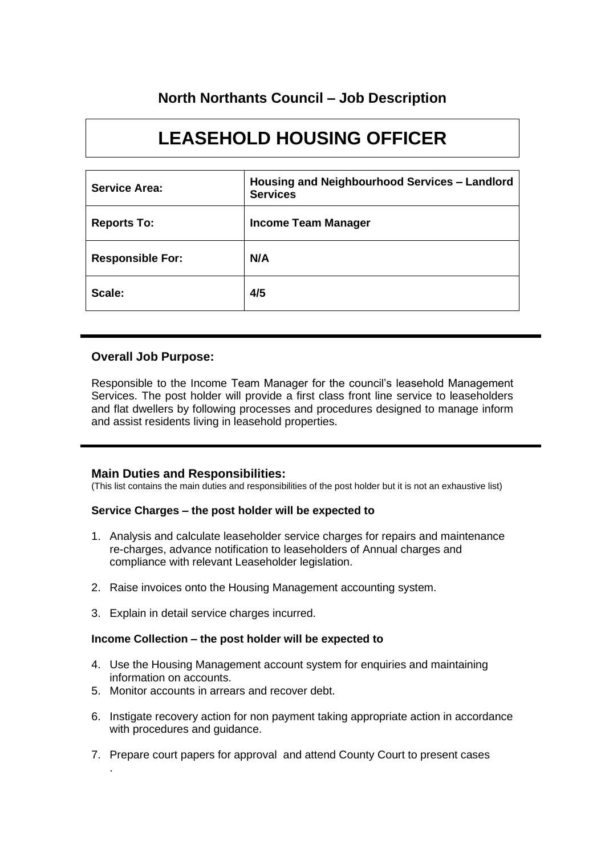# **North Northants Council – Job Description**

# **LEASEHOLD HOUSING OFFICER**

| <b>Service Area:</b>    | Housing and Neighbourhood Services - Landlord<br><b>Services</b> |
|-------------------------|------------------------------------------------------------------|
| <b>Reports To:</b>      | <b>Income Team Manager</b>                                       |
| <b>Responsible For:</b> | N/A                                                              |
| Scale:                  | 4/5                                                              |

# **Overall Job Purpose:**

Responsible to the Income Team Manager for the council's leasehold Management Services. The post holder will provide a first class front line service to leaseholders and flat dwellers by following processes and procedures designed to manage inform and assist residents living in leasehold properties.

# **Main Duties and Responsibilities:**

(This list contains the main duties and responsibilities of the post holder but it is not an exhaustive list)

# **Service Charges – the post holder will be expected to**

- 1. Analysis and calculate leaseholder service charges for repairs and maintenance re-charges, advance notification to leaseholders of Annual charges and compliance with relevant Leaseholder legislation.
- 2. Raise invoices onto the Housing Management accounting system.
- 3. Explain in detail service charges incurred.

#### **Income Collection – the post holder will be expected to**

- 4. Use the Housing Management account system for enquiries and maintaining information on accounts.
- 5. Monitor accounts in arrears and recover debt.

.

- 6. Instigate recovery action for non payment taking appropriate action in accordance with procedures and guidance.
- 7. Prepare court papers for approval and attend County Court to present cases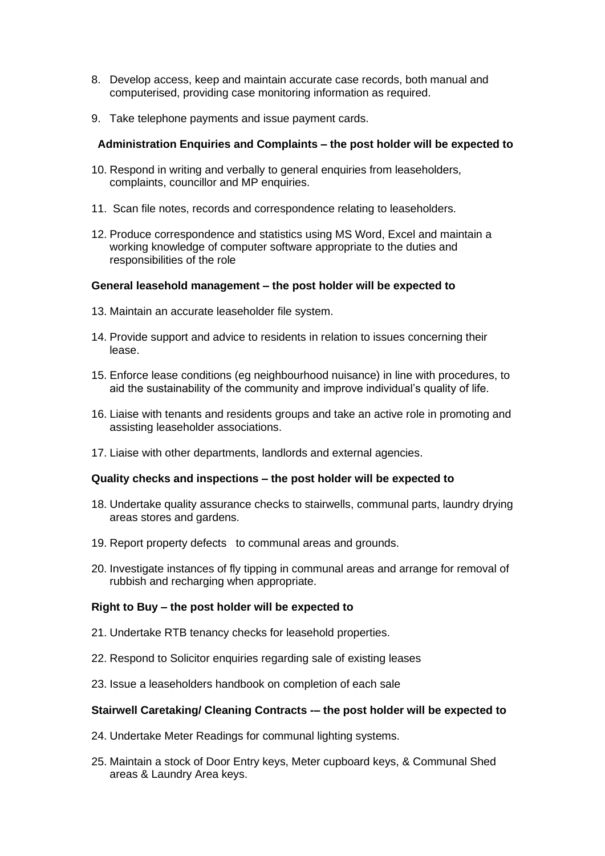- 8. Develop access, keep and maintain accurate case records, both manual and computerised, providing case monitoring information as required.
- 9. Take telephone payments and issue payment cards.

## **Administration Enquiries and Complaints – the post holder will be expected to**

- 10. Respond in writing and verbally to general enquiries from leaseholders, complaints, councillor and MP enquiries.
- 11. Scan file notes, records and correspondence relating to leaseholders.
- 12. Produce correspondence and statistics using MS Word, Excel and maintain a working knowledge of computer software appropriate to the duties and responsibilities of the role

#### **General leasehold management – the post holder will be expected to**

- 13. Maintain an accurate leaseholder file system.
- 14. Provide support and advice to residents in relation to issues concerning their lease.
- 15. Enforce lease conditions (eg neighbourhood nuisance) in line with procedures, to aid the sustainability of the community and improve individual's quality of life.
- 16. Liaise with tenants and residents groups and take an active role in promoting and assisting leaseholder associations.
- 17. Liaise with other departments, landlords and external agencies.

#### **Quality checks and inspections – the post holder will be expected to**

- 18. Undertake quality assurance checks to stairwells, communal parts, laundry drying areas stores and gardens.
- 19. Report property defects to communal areas and grounds.
- 20. Investigate instances of fly tipping in communal areas and arrange for removal of rubbish and recharging when appropriate.

#### **Right to Buy – the post holder will be expected to**

- 21. Undertake RTB tenancy checks for leasehold properties.
- 22. Respond to Solicitor enquiries regarding sale of existing leases
- 23. Issue a leaseholders handbook on completion of each sale

# **Stairwell Caretaking/ Cleaning Contracts -– the post holder will be expected to**

- 24. Undertake Meter Readings for communal lighting systems.
- 25. Maintain a stock of Door Entry keys, Meter cupboard keys, & Communal Shed areas & Laundry Area keys.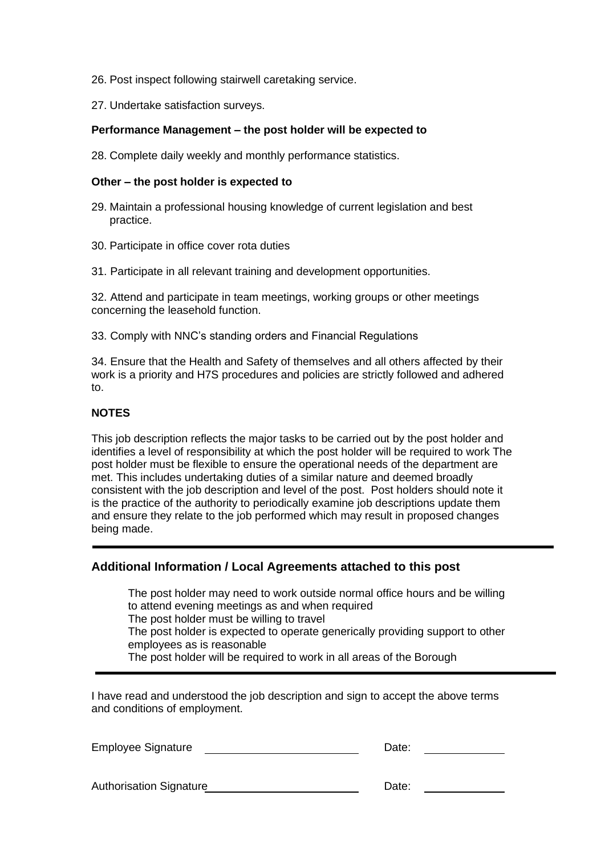- 26. Post inspect following stairwell caretaking service.
- 27. Undertake satisfaction surveys.

#### **Performance Management – the post holder will be expected to**

28. Complete daily weekly and monthly performance statistics.

## **Other – the post holder is expected to**

- 29. Maintain a professional housing knowledge of current legislation and best practice.
- 30. Participate in office cover rota duties
- 31. Participate in all relevant training and development opportunities.

32. Attend and participate in team meetings, working groups or other meetings concerning the leasehold function.

33. Comply with NNC's standing orders and Financial Regulations

34. Ensure that the Health and Safety of themselves and all others affected by their work is a priority and H7S procedures and policies are strictly followed and adhered to.

# **NOTES**

This job description reflects the major tasks to be carried out by the post holder and identifies a level of responsibility at which the post holder will be required to work The post holder must be flexible to ensure the operational needs of the department are met. This includes undertaking duties of a similar nature and deemed broadly consistent with the job description and level of the post. Post holders should note it is the practice of the authority to periodically examine job descriptions update them and ensure they relate to the job performed which may result in proposed changes being made.

# **Additional Information / Local Agreements attached to this post**

The post holder may need to work outside normal office hours and be willing to attend evening meetings as and when required The post holder must be willing to travel The post holder is expected to operate generically providing support to other employees as is reasonable The post holder will be required to work in all areas of the Borough

I have read and understood the job description and sign to accept the above terms and conditions of employment.

| Employee Signature             | Date: |  |
|--------------------------------|-------|--|
|                                |       |  |
| <b>Authorisation Signature</b> | Date: |  |